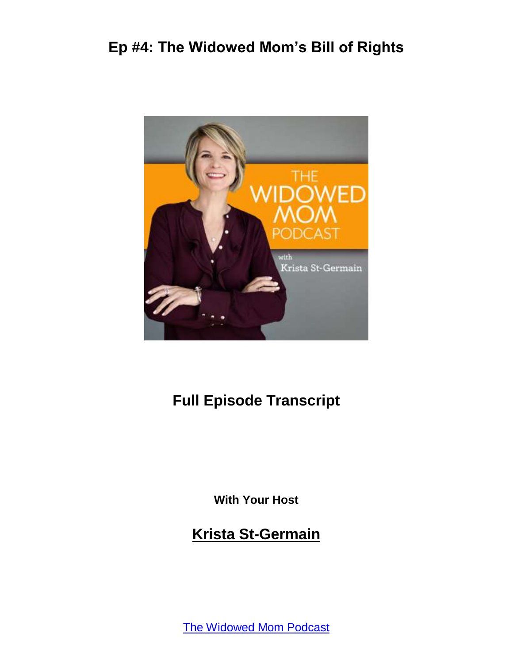

### **Full Episode Transcript**

**With Your Host**

**Krista St-Germain**

[The Widowed Mom Podcast](https://coachingwithkrista.com/podcast)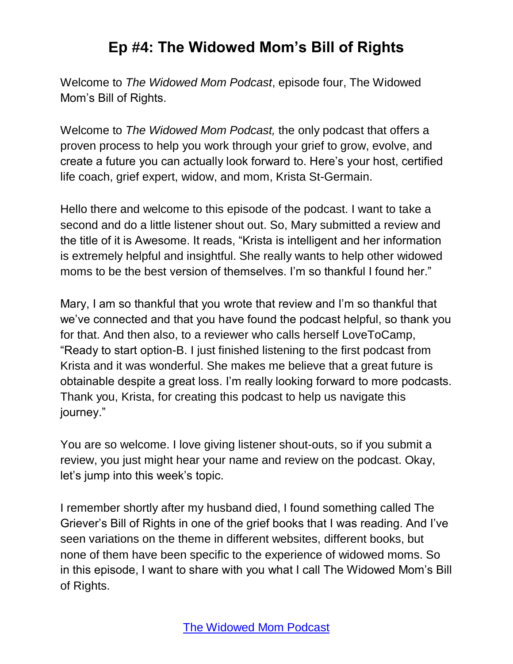Welcome to *The Widowed Mom Podcast*, episode four, The Widowed Mom's Bill of Rights.

Welcome to *The Widowed Mom Podcast,* the only podcast that offers a proven process to help you work through your grief to grow, evolve, and create a future you can actually look forward to. Here's your host, certified life coach, grief expert, widow, and mom, Krista St-Germain.

Hello there and welcome to this episode of the podcast. I want to take a second and do a little listener shout out. So, Mary submitted a review and the title of it is Awesome. It reads, "Krista is intelligent and her information is extremely helpful and insightful. She really wants to help other widowed moms to be the best version of themselves. I'm so thankful I found her."

Mary, I am so thankful that you wrote that review and I'm so thankful that we've connected and that you have found the podcast helpful, so thank you for that. And then also, to a reviewer who calls herself LoveToCamp, "Ready to start option-B. I just finished listening to the first podcast from Krista and it was wonderful. She makes me believe that a great future is obtainable despite a great loss. I'm really looking forward to more podcasts. Thank you, Krista, for creating this podcast to help us navigate this journey."

You are so welcome. I love giving listener shout-outs, so if you submit a review, you just might hear your name and review on the podcast. Okay, let's jump into this week's topic.

I remember shortly after my husband died, I found something called The Griever's Bill of Rights in one of the grief books that I was reading. And I've seen variations on the theme in different websites, different books, but none of them have been specific to the experience of widowed moms. So in this episode, I want to share with you what I call The Widowed Mom's Bill of Rights.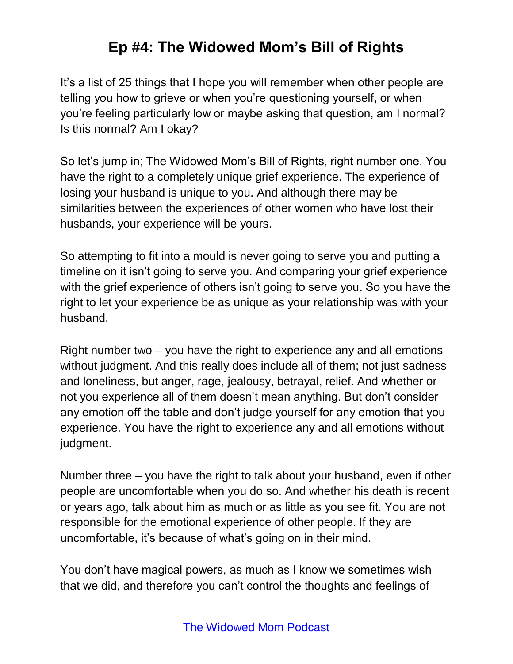It's a list of 25 things that I hope you will remember when other people are telling you how to grieve or when you're questioning yourself, or when you're feeling particularly low or maybe asking that question, am I normal? Is this normal? Am I okay?

So let's jump in; The Widowed Mom's Bill of Rights, right number one. You have the right to a completely unique grief experience. The experience of losing your husband is unique to you. And although there may be similarities between the experiences of other women who have lost their husbands, your experience will be yours.

So attempting to fit into a mould is never going to serve you and putting a timeline on it isn't going to serve you. And comparing your grief experience with the grief experience of others isn't going to serve you. So you have the right to let your experience be as unique as your relationship was with your husband.

Right number two – you have the right to experience any and all emotions without judgment. And this really does include all of them; not just sadness and loneliness, but anger, rage, jealousy, betrayal, relief. And whether or not you experience all of them doesn't mean anything. But don't consider any emotion off the table and don't judge yourself for any emotion that you experience. You have the right to experience any and all emotions without judgment.

Number three – you have the right to talk about your husband, even if other people are uncomfortable when you do so. And whether his death is recent or years ago, talk about him as much or as little as you see fit. You are not responsible for the emotional experience of other people. If they are uncomfortable, it's because of what's going on in their mind.

You don't have magical powers, as much as I know we sometimes wish that we did, and therefore you can't control the thoughts and feelings of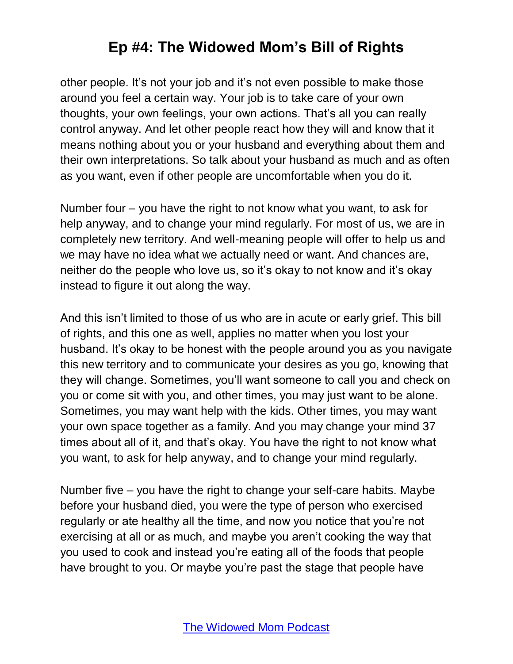other people. It's not your job and it's not even possible to make those around you feel a certain way. Your job is to take care of your own thoughts, your own feelings, your own actions. That's all you can really control anyway. And let other people react how they will and know that it means nothing about you or your husband and everything about them and their own interpretations. So talk about your husband as much and as often as you want, even if other people are uncomfortable when you do it.

Number four – you have the right to not know what you want, to ask for help anyway, and to change your mind regularly. For most of us, we are in completely new territory. And well-meaning people will offer to help us and we may have no idea what we actually need or want. And chances are, neither do the people who love us, so it's okay to not know and it's okay instead to figure it out along the way.

And this isn't limited to those of us who are in acute or early grief. This bill of rights, and this one as well, applies no matter when you lost your husband. It's okay to be honest with the people around you as you navigate this new territory and to communicate your desires as you go, knowing that they will change. Sometimes, you'll want someone to call you and check on you or come sit with you, and other times, you may just want to be alone. Sometimes, you may want help with the kids. Other times, you may want your own space together as a family. And you may change your mind 37 times about all of it, and that's okay. You have the right to not know what you want, to ask for help anyway, and to change your mind regularly.

Number five – you have the right to change your self-care habits. Maybe before your husband died, you were the type of person who exercised regularly or ate healthy all the time, and now you notice that you're not exercising at all or as much, and maybe you aren't cooking the way that you used to cook and instead you're eating all of the foods that people have brought to you. Or maybe you're past the stage that people have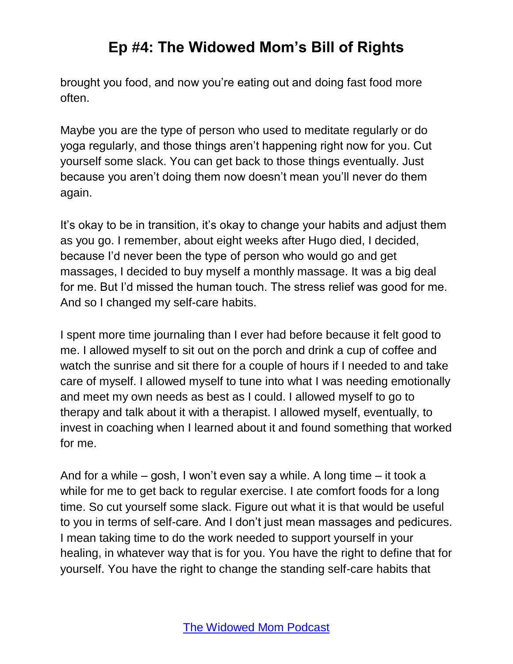brought you food, and now you're eating out and doing fast food more often.

Maybe you are the type of person who used to meditate regularly or do yoga regularly, and those things aren't happening right now for you. Cut yourself some slack. You can get back to those things eventually. Just because you aren't doing them now doesn't mean you'll never do them again.

It's okay to be in transition, it's okay to change your habits and adjust them as you go. I remember, about eight weeks after Hugo died, I decided, because I'd never been the type of person who would go and get massages, I decided to buy myself a monthly massage. It was a big deal for me. But I'd missed the human touch. The stress relief was good for me. And so I changed my self-care habits.

I spent more time journaling than I ever had before because it felt good to me. I allowed myself to sit out on the porch and drink a cup of coffee and watch the sunrise and sit there for a couple of hours if I needed to and take care of myself. I allowed myself to tune into what I was needing emotionally and meet my own needs as best as I could. I allowed myself to go to therapy and talk about it with a therapist. I allowed myself, eventually, to invest in coaching when I learned about it and found something that worked for me.

And for a while – gosh, I won't even say a while. A long time – it took a while for me to get back to regular exercise. I ate comfort foods for a long time. So cut yourself some slack. Figure out what it is that would be useful to you in terms of self-care. And I don't just mean massages and pedicures. I mean taking time to do the work needed to support yourself in your healing, in whatever way that is for you. You have the right to define that for yourself. You have the right to change the standing self-care habits that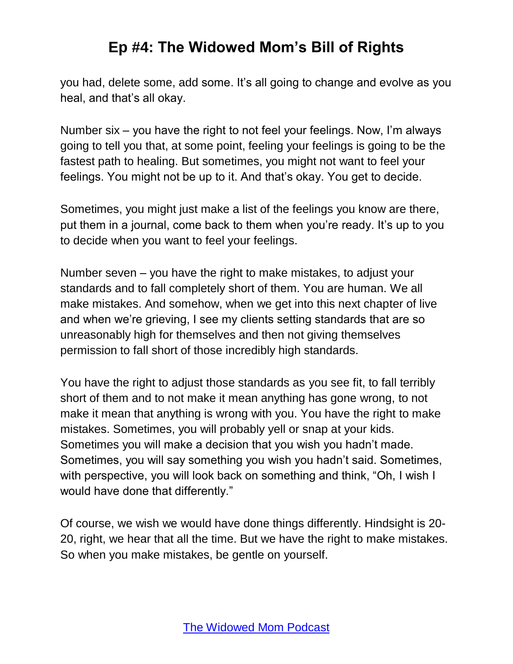you had, delete some, add some. It's all going to change and evolve as you heal, and that's all okay.

Number six – you have the right to not feel your feelings. Now, I'm always going to tell you that, at some point, feeling your feelings is going to be the fastest path to healing. But sometimes, you might not want to feel your feelings. You might not be up to it. And that's okay. You get to decide.

Sometimes, you might just make a list of the feelings you know are there, put them in a journal, come back to them when you're ready. It's up to you to decide when you want to feel your feelings.

Number seven – you have the right to make mistakes, to adjust your standards and to fall completely short of them. You are human. We all make mistakes. And somehow, when we get into this next chapter of live and when we're grieving, I see my clients setting standards that are so unreasonably high for themselves and then not giving themselves permission to fall short of those incredibly high standards.

You have the right to adjust those standards as you see fit, to fall terribly short of them and to not make it mean anything has gone wrong, to not make it mean that anything is wrong with you. You have the right to make mistakes. Sometimes, you will probably yell or snap at your kids. Sometimes you will make a decision that you wish you hadn't made. Sometimes, you will say something you wish you hadn't said. Sometimes, with perspective, you will look back on something and think, "Oh, I wish I would have done that differently."

Of course, we wish we would have done things differently. Hindsight is 20- 20, right, we hear that all the time. But we have the right to make mistakes. So when you make mistakes, be gentle on yourself.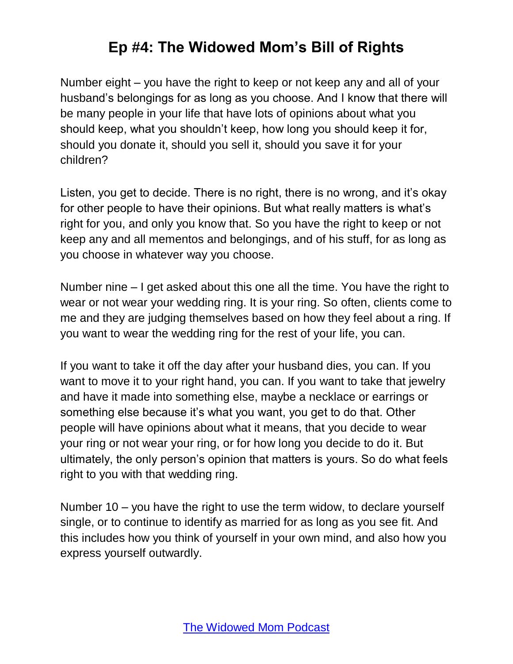Number eight – you have the right to keep or not keep any and all of your husband's belongings for as long as you choose. And I know that there will be many people in your life that have lots of opinions about what you should keep, what you shouldn't keep, how long you should keep it for, should you donate it, should you sell it, should you save it for your children?

Listen, you get to decide. There is no right, there is no wrong, and it's okay for other people to have their opinions. But what really matters is what's right for you, and only you know that. So you have the right to keep or not keep any and all mementos and belongings, and of his stuff, for as long as you choose in whatever way you choose.

Number nine – I get asked about this one all the time. You have the right to wear or not wear your wedding ring. It is your ring. So often, clients come to me and they are judging themselves based on how they feel about a ring. If you want to wear the wedding ring for the rest of your life, you can.

If you want to take it off the day after your husband dies, you can. If you want to move it to your right hand, you can. If you want to take that jewelry and have it made into something else, maybe a necklace or earrings or something else because it's what you want, you get to do that. Other people will have opinions about what it means, that you decide to wear your ring or not wear your ring, or for how long you decide to do it. But ultimately, the only person's opinion that matters is yours. So do what feels right to you with that wedding ring.

Number 10 – you have the right to use the term widow, to declare yourself single, or to continue to identify as married for as long as you see fit. And this includes how you think of yourself in your own mind, and also how you express yourself outwardly.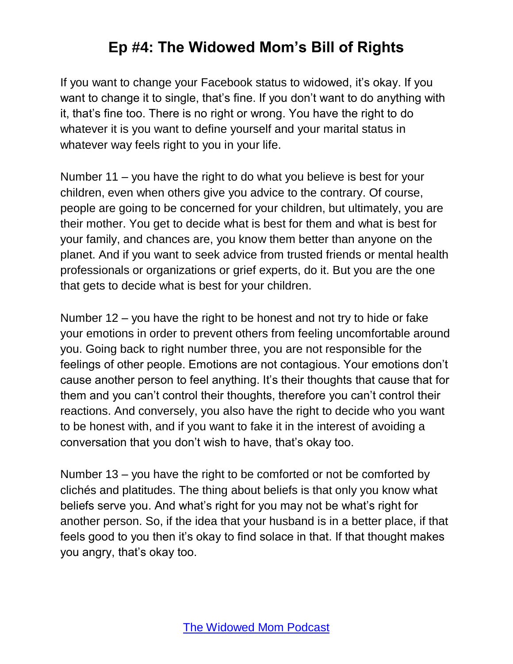If you want to change your Facebook status to widowed, it's okay. If you want to change it to single, that's fine. If you don't want to do anything with it, that's fine too. There is no right or wrong. You have the right to do whatever it is you want to define yourself and your marital status in whatever way feels right to you in your life.

Number 11 – you have the right to do what you believe is best for your children, even when others give you advice to the contrary. Of course, people are going to be concerned for your children, but ultimately, you are their mother. You get to decide what is best for them and what is best for your family, and chances are, you know them better than anyone on the planet. And if you want to seek advice from trusted friends or mental health professionals or organizations or grief experts, do it. But you are the one that gets to decide what is best for your children.

Number 12 – you have the right to be honest and not try to hide or fake your emotions in order to prevent others from feeling uncomfortable around you. Going back to right number three, you are not responsible for the feelings of other people. Emotions are not contagious. Your emotions don't cause another person to feel anything. It's their thoughts that cause that for them and you can't control their thoughts, therefore you can't control their reactions. And conversely, you also have the right to decide who you want to be honest with, and if you want to fake it in the interest of avoiding a conversation that you don't wish to have, that's okay too.

Number 13 – you have the right to be comforted or not be comforted by clichés and platitudes. The thing about beliefs is that only you know what beliefs serve you. And what's right for you may not be what's right for another person. So, if the idea that your husband is in a better place, if that feels good to you then it's okay to find solace in that. If that thought makes you angry, that's okay too.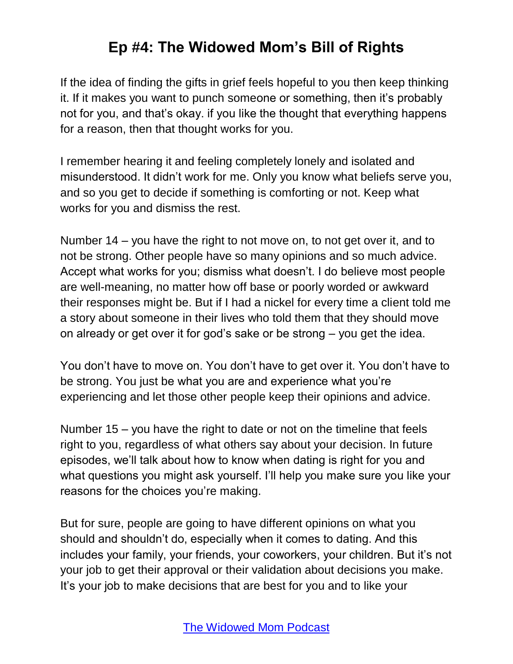If the idea of finding the gifts in grief feels hopeful to you then keep thinking it. If it makes you want to punch someone or something, then it's probably not for you, and that's okay. if you like the thought that everything happens for a reason, then that thought works for you.

I remember hearing it and feeling completely lonely and isolated and misunderstood. It didn't work for me. Only you know what beliefs serve you, and so you get to decide if something is comforting or not. Keep what works for you and dismiss the rest.

Number 14 – you have the right to not move on, to not get over it, and to not be strong. Other people have so many opinions and so much advice. Accept what works for you; dismiss what doesn't. I do believe most people are well-meaning, no matter how off base or poorly worded or awkward their responses might be. But if I had a nickel for every time a client told me a story about someone in their lives who told them that they should move on already or get over it for god's sake or be strong – you get the idea.

You don't have to move on. You don't have to get over it. You don't have to be strong. You just be what you are and experience what you're experiencing and let those other people keep their opinions and advice.

Number 15 – you have the right to date or not on the timeline that feels right to you, regardless of what others say about your decision. In future episodes, we'll talk about how to know when dating is right for you and what questions you might ask yourself. I'll help you make sure you like your reasons for the choices you're making.

But for sure, people are going to have different opinions on what you should and shouldn't do, especially when it comes to dating. And this includes your family, your friends, your coworkers, your children. But it's not your job to get their approval or their validation about decisions you make. It's your job to make decisions that are best for you and to like your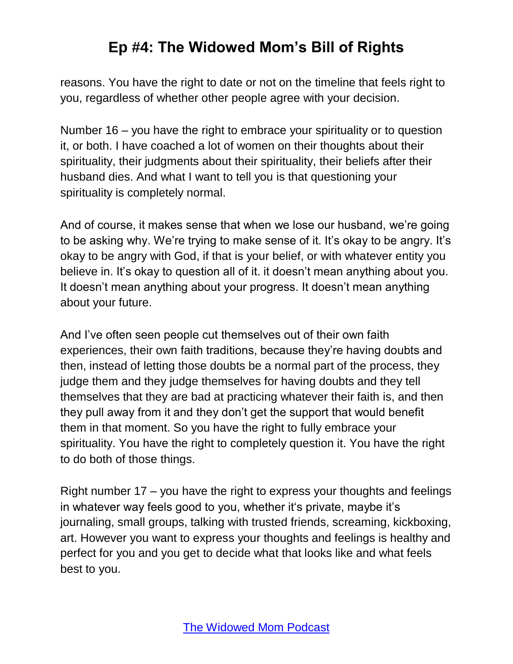reasons. You have the right to date or not on the timeline that feels right to you, regardless of whether other people agree with your decision.

Number 16 – you have the right to embrace your spirituality or to question it, or both. I have coached a lot of women on their thoughts about their spirituality, their judgments about their spirituality, their beliefs after their husband dies. And what I want to tell you is that questioning your spirituality is completely normal.

And of course, it makes sense that when we lose our husband, we're going to be asking why. We're trying to make sense of it. It's okay to be angry. It's okay to be angry with God, if that is your belief, or with whatever entity you believe in. It's okay to question all of it. it doesn't mean anything about you. It doesn't mean anything about your progress. It doesn't mean anything about your future.

And I've often seen people cut themselves out of their own faith experiences, their own faith traditions, because they're having doubts and then, instead of letting those doubts be a normal part of the process, they judge them and they judge themselves for having doubts and they tell themselves that they are bad at practicing whatever their faith is, and then they pull away from it and they don't get the support that would benefit them in that moment. So you have the right to fully embrace your spirituality. You have the right to completely question it. You have the right to do both of those things.

Right number 17 – you have the right to express your thoughts and feelings in whatever way feels good to you, whether it's private, maybe it's journaling, small groups, talking with trusted friends, screaming, kickboxing, art. However you want to express your thoughts and feelings is healthy and perfect for you and you get to decide what that looks like and what feels best to you.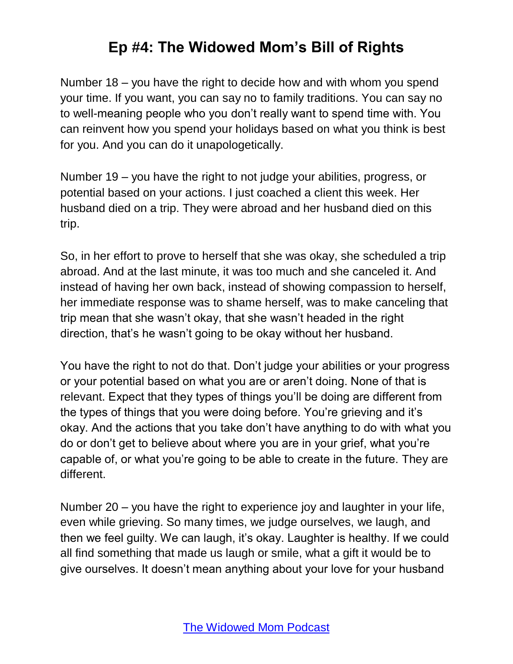Number 18 – you have the right to decide how and with whom you spend your time. If you want, you can say no to family traditions. You can say no to well-meaning people who you don't really want to spend time with. You can reinvent how you spend your holidays based on what you think is best for you. And you can do it unapologetically.

Number 19 – you have the right to not judge your abilities, progress, or potential based on your actions. I just coached a client this week. Her husband died on a trip. They were abroad and her husband died on this trip.

So, in her effort to prove to herself that she was okay, she scheduled a trip abroad. And at the last minute, it was too much and she canceled it. And instead of having her own back, instead of showing compassion to herself, her immediate response was to shame herself, was to make canceling that trip mean that she wasn't okay, that she wasn't headed in the right direction, that's he wasn't going to be okay without her husband.

You have the right to not do that. Don't judge your abilities or your progress or your potential based on what you are or aren't doing. None of that is relevant. Expect that they types of things you'll be doing are different from the types of things that you were doing before. You're grieving and it's okay. And the actions that you take don't have anything to do with what you do or don't get to believe about where you are in your grief, what you're capable of, or what you're going to be able to create in the future. They are different.

Number 20 – you have the right to experience joy and laughter in your life, even while grieving. So many times, we judge ourselves, we laugh, and then we feel guilty. We can laugh, it's okay. Laughter is healthy. If we could all find something that made us laugh or smile, what a gift it would be to give ourselves. It doesn't mean anything about your love for your husband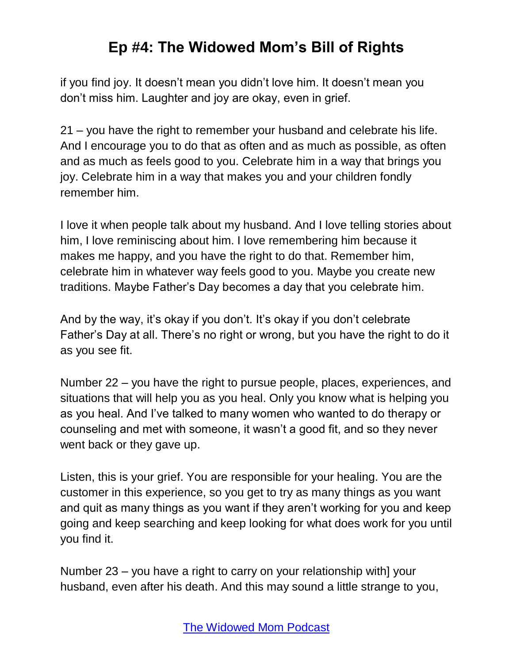if you find joy. It doesn't mean you didn't love him. It doesn't mean you don't miss him. Laughter and joy are okay, even in grief.

21 – you have the right to remember your husband and celebrate his life. And I encourage you to do that as often and as much as possible, as often and as much as feels good to you. Celebrate him in a way that brings you joy. Celebrate him in a way that makes you and your children fondly remember him.

I love it when people talk about my husband. And I love telling stories about him, I love reminiscing about him. I love remembering him because it makes me happy, and you have the right to do that. Remember him, celebrate him in whatever way feels good to you. Maybe you create new traditions. Maybe Father's Day becomes a day that you celebrate him.

And by the way, it's okay if you don't. It's okay if you don't celebrate Father's Day at all. There's no right or wrong, but you have the right to do it as you see fit.

Number 22 – you have the right to pursue people, places, experiences, and situations that will help you as you heal. Only you know what is helping you as you heal. And I've talked to many women who wanted to do therapy or counseling and met with someone, it wasn't a good fit, and so they never went back or they gave up.

Listen, this is your grief. You are responsible for your healing. You are the customer in this experience, so you get to try as many things as you want and quit as many things as you want if they aren't working for you and keep going and keep searching and keep looking for what does work for you until you find it.

Number 23 – you have a right to carry on your relationship with] your husband, even after his death. And this may sound a little strange to you,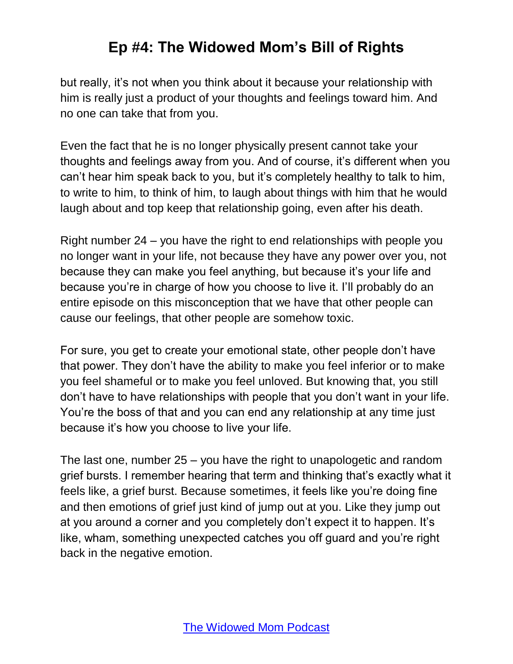but really, it's not when you think about it because your relationship with him is really just a product of your thoughts and feelings toward him. And no one can take that from you.

Even the fact that he is no longer physically present cannot take your thoughts and feelings away from you. And of course, it's different when you can't hear him speak back to you, but it's completely healthy to talk to him, to write to him, to think of him, to laugh about things with him that he would laugh about and top keep that relationship going, even after his death.

Right number 24 – you have the right to end relationships with people you no longer want in your life, not because they have any power over you, not because they can make you feel anything, but because it's your life and because you're in charge of how you choose to live it. I'll probably do an entire episode on this misconception that we have that other people can cause our feelings, that other people are somehow toxic.

For sure, you get to create your emotional state, other people don't have that power. They don't have the ability to make you feel inferior or to make you feel shameful or to make you feel unloved. But knowing that, you still don't have to have relationships with people that you don't want in your life. You're the boss of that and you can end any relationship at any time just because it's how you choose to live your life.

The last one, number 25 – you have the right to unapologetic and random grief bursts. I remember hearing that term and thinking that's exactly what it feels like, a grief burst. Because sometimes, it feels like you're doing fine and then emotions of grief just kind of jump out at you. Like they jump out at you around a corner and you completely don't expect it to happen. It's like, wham, something unexpected catches you off guard and you're right back in the negative emotion.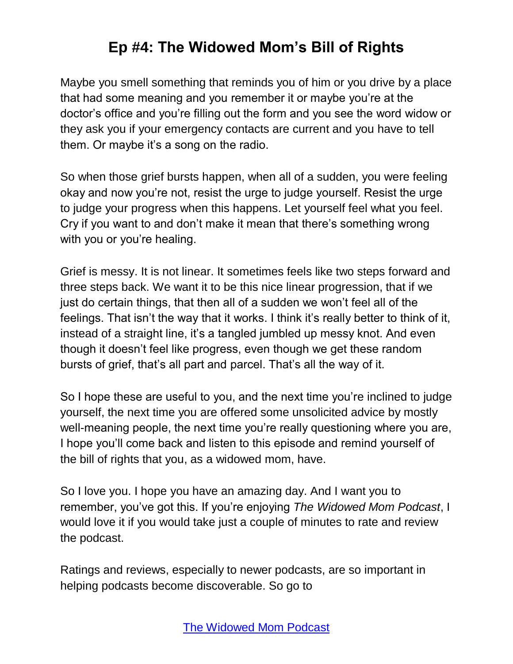Maybe you smell something that reminds you of him or you drive by a place that had some meaning and you remember it or maybe you're at the doctor's office and you're filling out the form and you see the word widow or they ask you if your emergency contacts are current and you have to tell them. Or maybe it's a song on the radio.

So when those grief bursts happen, when all of a sudden, you were feeling okay and now you're not, resist the urge to judge yourself. Resist the urge to judge your progress when this happens. Let yourself feel what you feel. Cry if you want to and don't make it mean that there's something wrong with you or you're healing.

Grief is messy. It is not linear. It sometimes feels like two steps forward and three steps back. We want it to be this nice linear progression, that if we just do certain things, that then all of a sudden we won't feel all of the feelings. That isn't the way that it works. I think it's really better to think of it, instead of a straight line, it's a tangled jumbled up messy knot. And even though it doesn't feel like progress, even though we get these random bursts of grief, that's all part and parcel. That's all the way of it.

So I hope these are useful to you, and the next time you're inclined to judge yourself, the next time you are offered some unsolicited advice by mostly well-meaning people, the next time you're really questioning where you are, I hope you'll come back and listen to this episode and remind yourself of the bill of rights that you, as a widowed mom, have.

So I love you. I hope you have an amazing day. And I want you to remember, you've got this. If you're enjoying *The Widowed Mom Podcast*, I would love it if you would take just a couple of minutes to rate and review the podcast.

Ratings and reviews, especially to newer podcasts, are so important in helping podcasts become discoverable. So go to